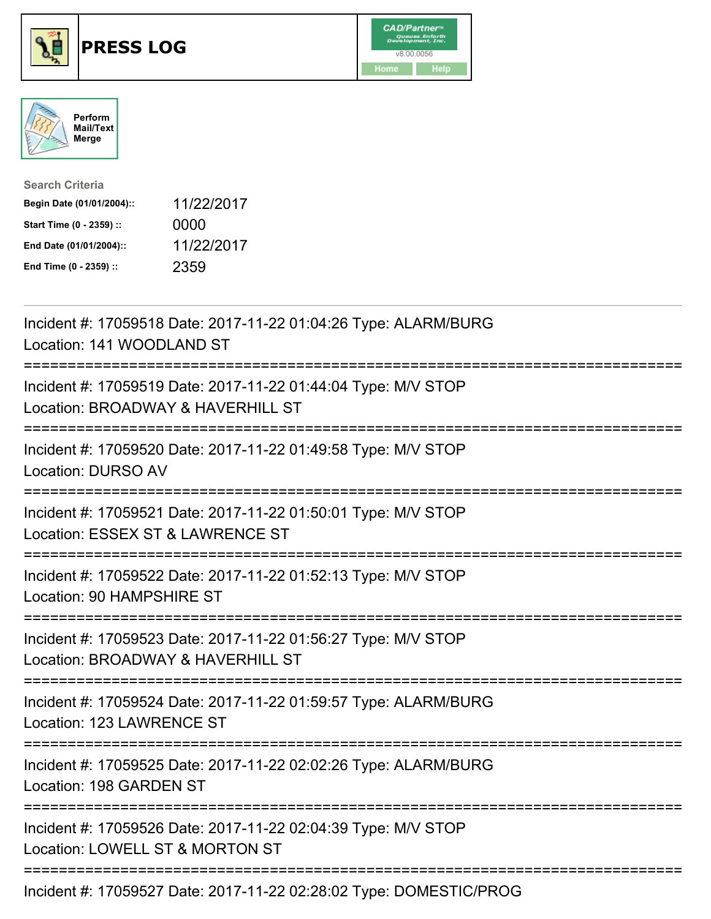





| <b>Search Criteria</b>    |            |
|---------------------------|------------|
| Begin Date (01/01/2004):: | 11/22/2017 |
| Start Time (0 - 2359) ::  | 0000       |
| End Date (01/01/2004)::   | 11/22/2017 |
| End Time (0 - 2359) ::    | 2359       |

| Incident #: 17059518 Date: 2017-11-22 01:04:26 Type: ALARM/BURG<br>Location: 141 WOODLAND ST                                      |
|-----------------------------------------------------------------------------------------------------------------------------------|
| Incident #: 17059519 Date: 2017-11-22 01:44:04 Type: M/V STOP<br>Location: BROADWAY & HAVERHILL ST                                |
| Incident #: 17059520 Date: 2017-11-22 01:49:58 Type: M/V STOP<br><b>Location: DURSO AV</b>                                        |
| Incident #: 17059521 Date: 2017-11-22 01:50:01 Type: M/V STOP<br>Location: ESSEX ST & LAWRENCE ST                                 |
| Incident #: 17059522 Date: 2017-11-22 01:52:13 Type: M/V STOP<br>Location: 90 HAMPSHIRE ST<br>=============                       |
| Incident #: 17059523 Date: 2017-11-22 01:56:27 Type: M/V STOP<br>Location: BROADWAY & HAVERHILL ST                                |
| Incident #: 17059524 Date: 2017-11-22 01:59:57 Type: ALARM/BURG<br>Location: 123 LAWRENCE ST<br>-------------                     |
| Incident #: 17059525 Date: 2017-11-22 02:02:26 Type: ALARM/BURG<br>Location: 198 GARDEN ST<br>=================================== |
| Incident #: 17059526 Date: 2017-11-22 02:04:39 Type: M/V STOP<br>Location: LOWELL ST & MORTON ST                                  |
| Incident #: 17059527 Date: 2017-11-22 02:28:02 Type: DOMESTIC/PROG                                                                |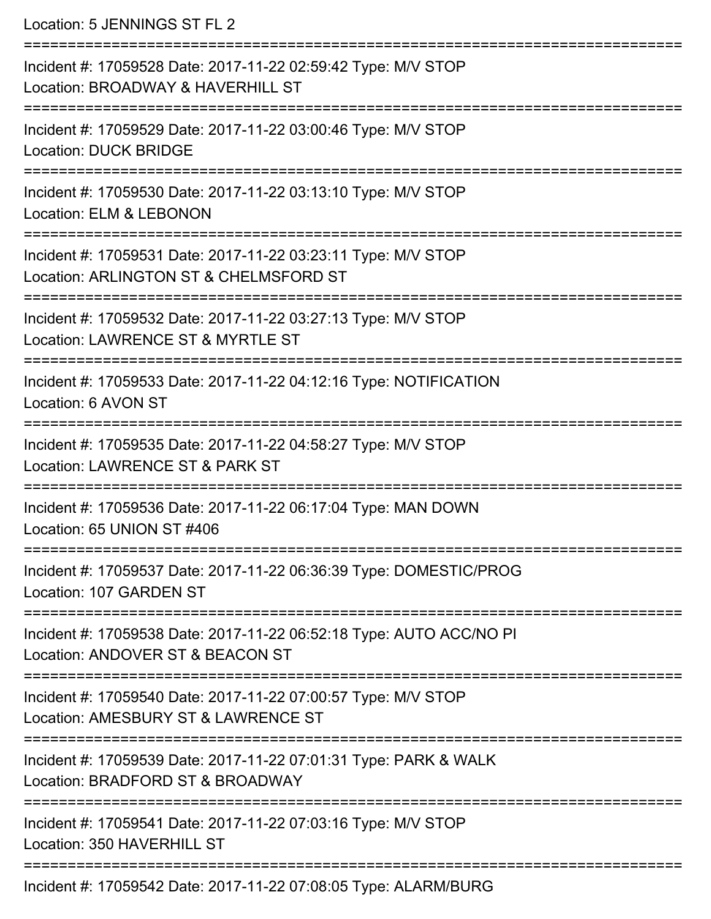Location: 5 JENNINGS ST FL 2 =========================================================================== Incident #: 17059528 Date: 2017-11-22 02:59:42 Type: M/V STOP Location: BROADWAY & HAVERHILL ST =========================================================================== Incident #: 17059529 Date: 2017-11-22 03:00:46 Type: M/V STOP Location: DUCK BRIDGE =========================================================================== Incident #: 17059530 Date: 2017-11-22 03:13:10 Type: M/V STOP Location: ELM & LEBONON =========================================================================== Incident #: 17059531 Date: 2017-11-22 03:23:11 Type: M/V STOP Location: ARLINGTON ST & CHELMSFORD ST **=========================** Incident #: 17059532 Date: 2017-11-22 03:27:13 Type: M/V STOP Location: LAWRENCE ST & MYRTLE ST =========================================================================== Incident #: 17059533 Date: 2017-11-22 04:12:16 Type: NOTIFICATION Location: 6 AVON ST =========================================================================== Incident #: 17059535 Date: 2017-11-22 04:58:27 Type: M/V STOP Location: LAWRENCE ST & PARK ST =========================================================================== Incident #: 17059536 Date: 2017-11-22 06:17:04 Type: MAN DOWN Location: 65 UNION ST #406 =========================================================================== Incident #: 17059537 Date: 2017-11-22 06:36:39 Type: DOMESTIC/PROG Location: 107 GARDEN ST =========================================================================== Incident #: 17059538 Date: 2017-11-22 06:52:18 Type: AUTO ACC/NO PI Location: ANDOVER ST & BEACON ST =========================================================================== Incident #: 17059540 Date: 2017-11-22 07:00:57 Type: M/V STOP Location: AMESBURY ST & LAWRENCE ST =========================================================================== Incident #: 17059539 Date: 2017-11-22 07:01:31 Type: PARK & WALK Location: BRADFORD ST & BROADWAY

===========================================================================

Incident #: 17059541 Date: 2017-11-22 07:03:16 Type: M/V STOP

Location: 350 HAVERHILL ST

===========================================================================

Incident #: 17059542 Date: 2017-11-22 07:08:05 Type: ALARM/BURG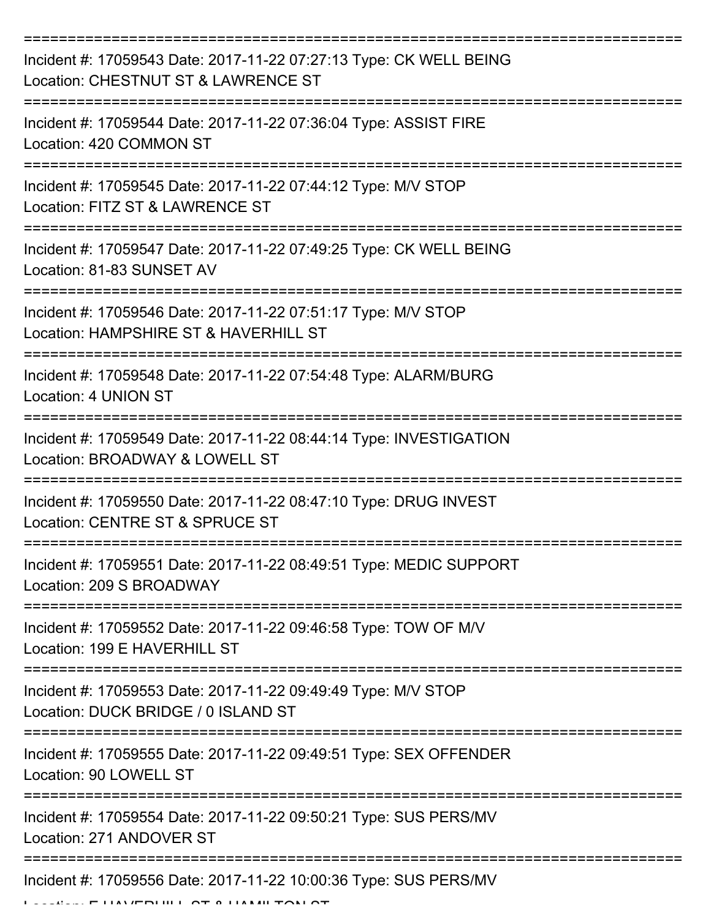| Incident #: 17059543 Date: 2017-11-22 07:27:13 Type: CK WELL BEING<br>Location: CHESTNUT ST & LAWRENCE ST |
|-----------------------------------------------------------------------------------------------------------|
| Incident #: 17059544 Date: 2017-11-22 07:36:04 Type: ASSIST FIRE<br>Location: 420 COMMON ST               |
| Incident #: 17059545 Date: 2017-11-22 07:44:12 Type: M/V STOP<br>Location: FITZ ST & LAWRENCE ST          |
| Incident #: 17059547 Date: 2017-11-22 07:49:25 Type: CK WELL BEING<br>Location: 81-83 SUNSET AV           |
| Incident #: 17059546 Date: 2017-11-22 07:51:17 Type: M/V STOP<br>Location: HAMPSHIRE ST & HAVERHILL ST    |
| Incident #: 17059548 Date: 2017-11-22 07:54:48 Type: ALARM/BURG<br>Location: 4 UNION ST                   |
| Incident #: 17059549 Date: 2017-11-22 08:44:14 Type: INVESTIGATION<br>Location: BROADWAY & LOWELL ST      |
| Incident #: 17059550 Date: 2017-11-22 08:47:10 Type: DRUG INVEST<br>Location: CENTRE ST & SPRUCE ST       |
| Incident #: 17059551 Date: 2017-11-22 08:49:51 Type: MEDIC SUPPORT<br>Location: 209 S BROADWAY            |
| Incident #: 17059552 Date: 2017-11-22 09:46:58 Type: TOW OF M/V<br>Location: 199 E HAVERHILL ST           |
| Incident #: 17059553 Date: 2017-11-22 09:49:49 Type: M/V STOP<br>Location: DUCK BRIDGE / 0 ISLAND ST      |
| Incident #: 17059555 Date: 2017-11-22 09:49:51 Type: SEX OFFENDER<br>Location: 90 LOWELL ST               |
| Incident #: 17059554 Date: 2017-11-22 09:50:21 Type: SUS PERS/MV<br>Location: 271 ANDOVER ST              |
| Incident #: 17059556 Date: 2017-11-22 10:00:36 Type: SUS PERS/MV<br>AVEDURI OT A HARAH TOM OT             |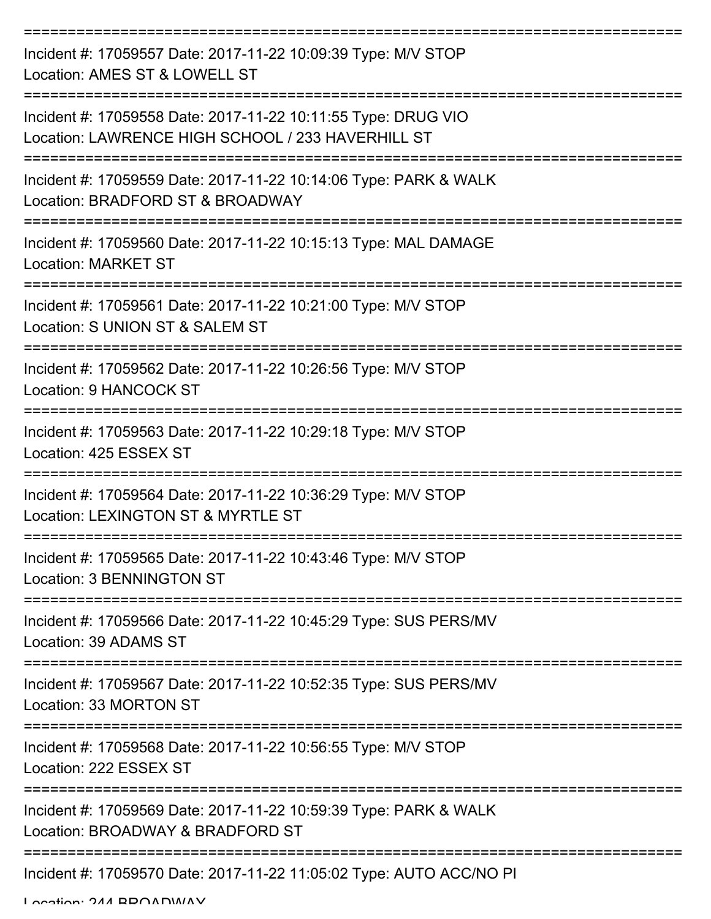| Incident #: 17059557 Date: 2017-11-22 10:09:39 Type: M/V STOP<br>Location: AMES ST & LOWELL ST                     |
|--------------------------------------------------------------------------------------------------------------------|
| Incident #: 17059558 Date: 2017-11-22 10:11:55 Type: DRUG VIO<br>Location: LAWRENCE HIGH SCHOOL / 233 HAVERHILL ST |
| Incident #: 17059559 Date: 2017-11-22 10:14:06 Type: PARK & WALK<br>Location: BRADFORD ST & BROADWAY               |
| Incident #: 17059560 Date: 2017-11-22 10:15:13 Type: MAL DAMAGE<br><b>Location: MARKET ST</b>                      |
| Incident #: 17059561 Date: 2017-11-22 10:21:00 Type: M/V STOP<br>Location: S UNION ST & SALEM ST                   |
| Incident #: 17059562 Date: 2017-11-22 10:26:56 Type: M/V STOP<br><b>Location: 9 HANCOCK ST</b>                     |
| Incident #: 17059563 Date: 2017-11-22 10:29:18 Type: M/V STOP<br>Location: 425 ESSEX ST                            |
| Incident #: 17059564 Date: 2017-11-22 10:36:29 Type: M/V STOP<br>Location: LEXINGTON ST & MYRTLE ST                |
| Incident #: 17059565 Date: 2017-11-22 10:43:46 Type: M/V STOP<br>Location: 3 BENNINGTON ST                         |
| Incident #: 17059566 Date: 2017-11-22 10:45:29 Type: SUS PERS/MV<br>Location: 39 ADAMS ST                          |
| Incident #: 17059567 Date: 2017-11-22 10:52:35 Type: SUS PERS/MV<br>Location: 33 MORTON ST                         |
| Incident #: 17059568 Date: 2017-11-22 10:56:55 Type: M/V STOP<br>Location: 222 ESSEX ST                            |
| Incident #: 17059569 Date: 2017-11-22 10:59:39 Type: PARK & WALK<br>Location: BROADWAY & BRADFORD ST               |
| Incident #: 17059570 Date: 2017-11-22 11:05:02 Type: AUTO ACC/NO PI                                                |

Location: 244 BROADWAY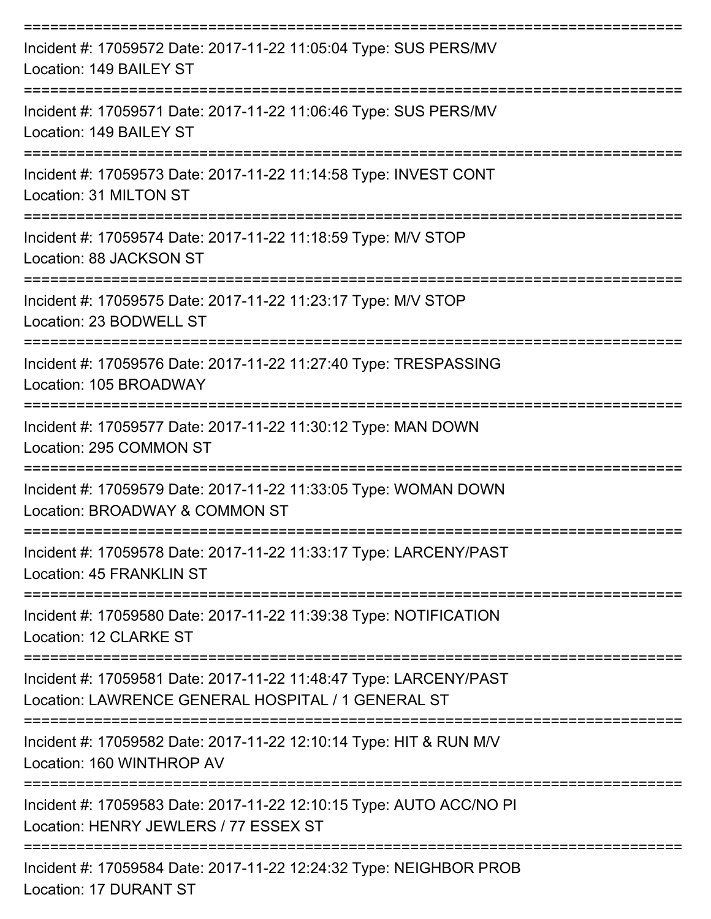| Incident #: 17059572 Date: 2017-11-22 11:05:04 Type: SUS PERS/MV<br>Location: 149 BAILEY ST                             |
|-------------------------------------------------------------------------------------------------------------------------|
| Incident #: 17059571 Date: 2017-11-22 11:06:46 Type: SUS PERS/MV<br>Location: 149 BAILEY ST                             |
| Incident #: 17059573 Date: 2017-11-22 11:14:58 Type: INVEST CONT<br>Location: 31 MILTON ST                              |
| Incident #: 17059574 Date: 2017-11-22 11:18:59 Type: M/V STOP<br>Location: 88 JACKSON ST                                |
| Incident #: 17059575 Date: 2017-11-22 11:23:17 Type: M/V STOP<br>Location: 23 BODWELL ST                                |
| Incident #: 17059576 Date: 2017-11-22 11:27:40 Type: TRESPASSING<br>Location: 105 BROADWAY                              |
| Incident #: 17059577 Date: 2017-11-22 11:30:12 Type: MAN DOWN<br>Location: 295 COMMON ST                                |
| Incident #: 17059579 Date: 2017-11-22 11:33:05 Type: WOMAN DOWN<br>Location: BROADWAY & COMMON ST                       |
| Incident #: 17059578 Date: 2017-11-22 11:33:17 Type: LARCENY/PAST<br>Location: 45 FRANKLIN ST                           |
| Incident #: 17059580 Date: 2017-11-22 11:39:38 Type: NOTIFICATION<br>Location: 12 CLARKE ST                             |
| Incident #: 17059581 Date: 2017-11-22 11:48:47 Type: LARCENY/PAST<br>Location: LAWRENCE GENERAL HOSPITAL / 1 GENERAL ST |
| Incident #: 17059582 Date: 2017-11-22 12:10:14 Type: HIT & RUN M/V<br>Location: 160 WINTHROP AV                         |
| Incident #: 17059583 Date: 2017-11-22 12:10:15 Type: AUTO ACC/NO PI<br>Location: HENRY JEWLERS / 77 ESSEX ST            |
| Incident #: 17059584 Date: 2017-11-22 12:24:32 Type: NEIGHBOR PROB                                                      |

Location: 17 DURANT ST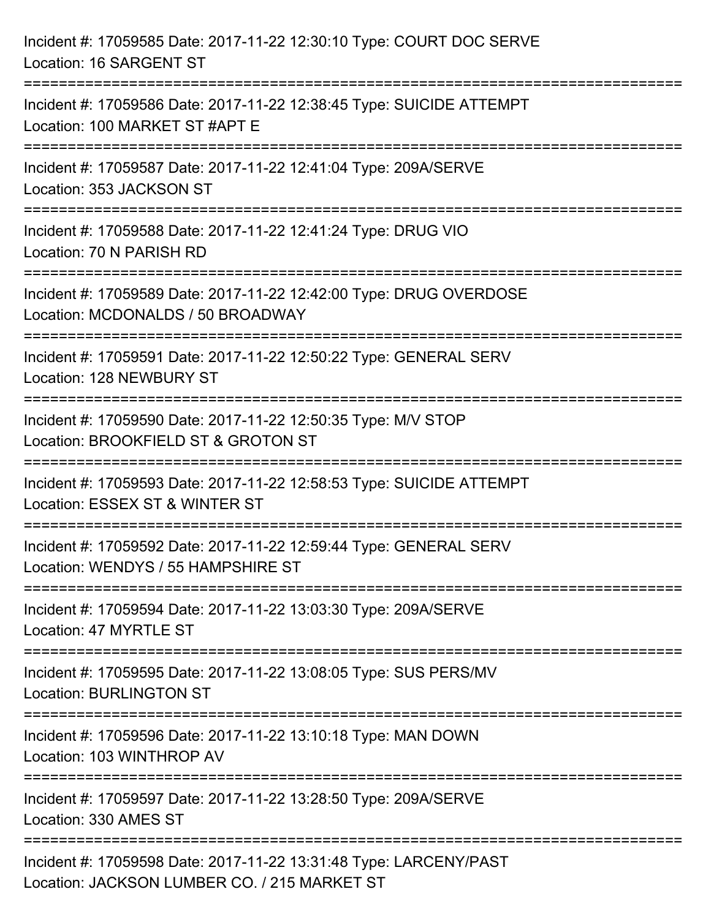| Incident #: 17059585 Date: 2017-11-22 12:30:10 Type: COURT DOC SERVE<br>Location: 16 SARGENT ST                   |
|-------------------------------------------------------------------------------------------------------------------|
| Incident #: 17059586 Date: 2017-11-22 12:38:45 Type: SUICIDE ATTEMPT<br>Location: 100 MARKET ST #APT E            |
| Incident #: 17059587 Date: 2017-11-22 12:41:04 Type: 209A/SERVE<br>Location: 353 JACKSON ST                       |
| Incident #: 17059588 Date: 2017-11-22 12:41:24 Type: DRUG VIO<br>Location: 70 N PARISH RD                         |
| Incident #: 17059589 Date: 2017-11-22 12:42:00 Type: DRUG OVERDOSE<br>Location: MCDONALDS / 50 BROADWAY           |
| Incident #: 17059591 Date: 2017-11-22 12:50:22 Type: GENERAL SERV<br>Location: 128 NEWBURY ST                     |
| Incident #: 17059590 Date: 2017-11-22 12:50:35 Type: M/V STOP<br>Location: BROOKFIELD ST & GROTON ST              |
| Incident #: 17059593 Date: 2017-11-22 12:58:53 Type: SUICIDE ATTEMPT<br>Location: ESSEX ST & WINTER ST            |
| Incident #: 17059592 Date: 2017-11-22 12:59:44 Type: GENERAL SERV<br>Location: WENDYS / 55 HAMPSHIRE ST           |
| Incident #: 17059594 Date: 2017-11-22 13:03:30 Type: 209A/SERVE<br>Location: 47 MYRTLE ST                         |
| Incident #: 17059595 Date: 2017-11-22 13:08:05 Type: SUS PERS/MV<br><b>Location: BURLINGTON ST</b>                |
| Incident #: 17059596 Date: 2017-11-22 13:10:18 Type: MAN DOWN<br>Location: 103 WINTHROP AV                        |
| Incident #: 17059597 Date: 2017-11-22 13:28:50 Type: 209A/SERVE<br>Location: 330 AMES ST                          |
| Incident #: 17059598 Date: 2017-11-22 13:31:48 Type: LARCENY/PAST<br>Location: JACKSON LUMBER CO. / 215 MARKET ST |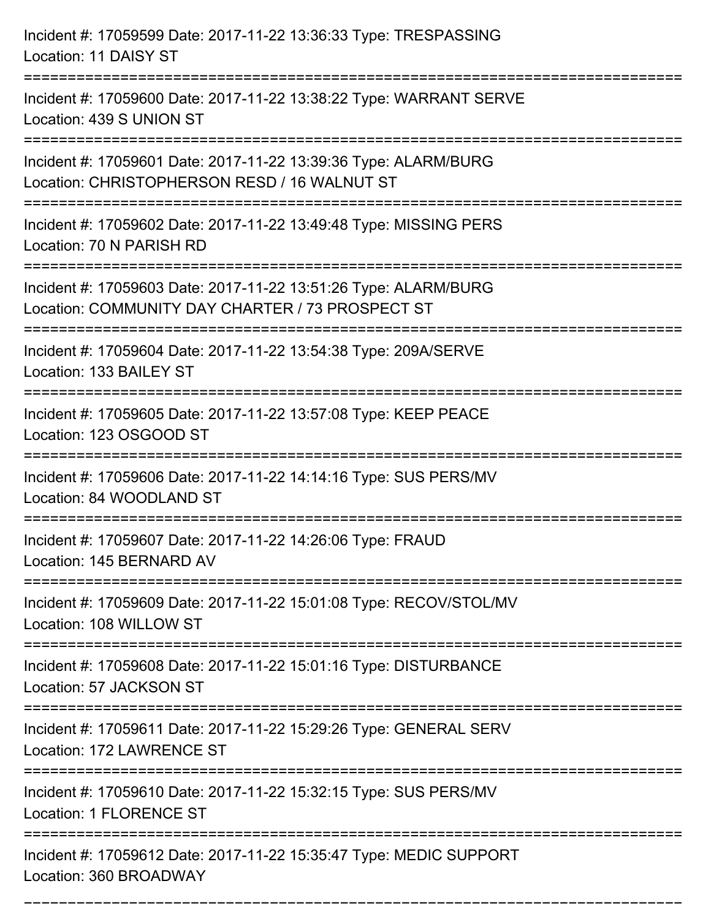| Incident #: 17059599 Date: 2017-11-22 13:36:33 Type: TRESPASSING<br>Location: 11 DAISY ST                                                        |
|--------------------------------------------------------------------------------------------------------------------------------------------------|
| Incident #: 17059600 Date: 2017-11-22 13:38:22 Type: WARRANT SERVE<br>Location: 439 S UNION ST                                                   |
| Incident #: 17059601 Date: 2017-11-22 13:39:36 Type: ALARM/BURG<br>Location: CHRISTOPHERSON RESD / 16 WALNUT ST<br>============================= |
| Incident #: 17059602 Date: 2017-11-22 13:49:48 Type: MISSING PERS<br>Location: 70 N PARISH RD                                                    |
| Incident #: 17059603 Date: 2017-11-22 13:51:26 Type: ALARM/BURG<br>Location: COMMUNITY DAY CHARTER / 73 PROSPECT ST                              |
| Incident #: 17059604 Date: 2017-11-22 13:54:38 Type: 209A/SERVE<br>Location: 133 BAILEY ST                                                       |
| Incident #: 17059605 Date: 2017-11-22 13:57:08 Type: KEEP PEACE<br>Location: 123 OSGOOD ST                                                       |
| Incident #: 17059606 Date: 2017-11-22 14:14:16 Type: SUS PERS/MV<br>Location: 84 WOODLAND ST                                                     |
| Incident #: 17059607 Date: 2017-11-22 14:26:06 Type: FRAUD<br>Location: 145 BERNARD AV                                                           |
| Incident #: 17059609 Date: 2017-11-22 15:01:08 Type: RECOV/STOL/MV<br>Location: 108 WILLOW ST                                                    |
| Incident #: 17059608 Date: 2017-11-22 15:01:16 Type: DISTURBANCE<br>Location: 57 JACKSON ST                                                      |
| Incident #: 17059611 Date: 2017-11-22 15:29:26 Type: GENERAL SERV<br>Location: 172 LAWRENCE ST                                                   |
| Incident #: 17059610 Date: 2017-11-22 15:32:15 Type: SUS PERS/MV<br><b>Location: 1 FLORENCE ST</b>                                               |
| Incident #: 17059612 Date: 2017-11-22 15:35:47 Type: MEDIC SUPPORT<br>Location: 360 BROADWAY                                                     |

===========================================================================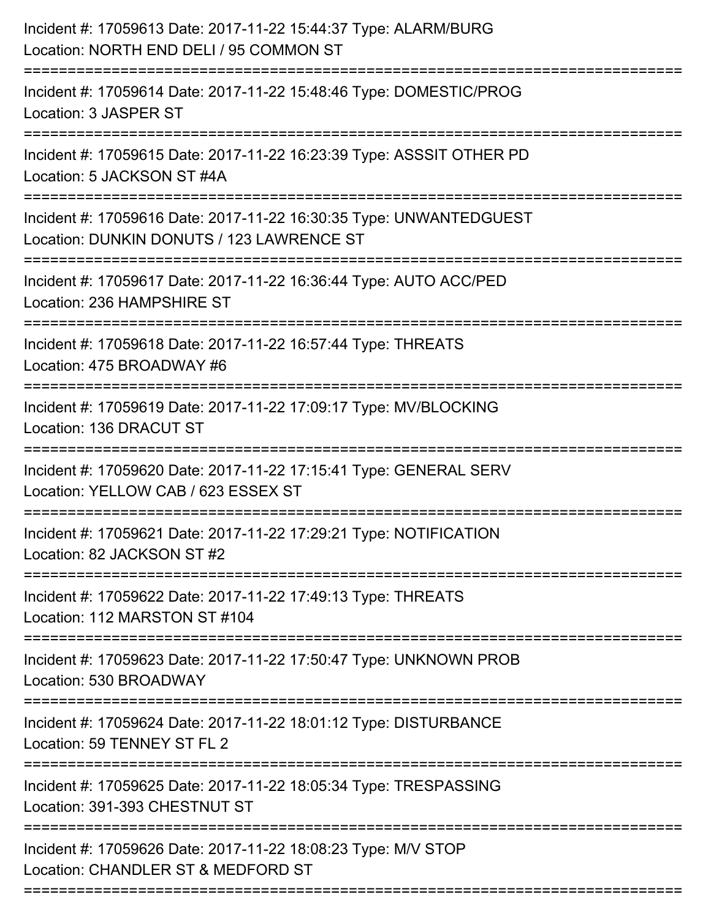| Incident #: 17059613 Date: 2017-11-22 15:44:37 Type: ALARM/BURG<br>Location: NORTH END DELI / 95 COMMON ST                              |
|-----------------------------------------------------------------------------------------------------------------------------------------|
| Incident #: 17059614 Date: 2017-11-22 15:48:46 Type: DOMESTIC/PROG<br>Location: 3 JASPER ST                                             |
| Incident #: 17059615 Date: 2017-11-22 16:23:39 Type: ASSSIT OTHER PD<br>Location: 5 JACKSON ST #4A                                      |
| Incident #: 17059616 Date: 2017-11-22 16:30:35 Type: UNWANTEDGUEST<br>Location: DUNKIN DONUTS / 123 LAWRENCE ST                         |
| Incident #: 17059617 Date: 2017-11-22 16:36:44 Type: AUTO ACC/PED<br>Location: 236 HAMPSHIRE ST                                         |
| Incident #: 17059618 Date: 2017-11-22 16:57:44 Type: THREATS<br>Location: 475 BROADWAY #6                                               |
| Incident #: 17059619 Date: 2017-11-22 17:09:17 Type: MV/BLOCKING<br>Location: 136 DRACUT ST                                             |
| Incident #: 17059620 Date: 2017-11-22 17:15:41 Type: GENERAL SERV<br>Location: YELLOW CAB / 623 ESSEX ST                                |
| Incident #: 17059621 Date: 2017-11-22 17:29:21 Type: NOTIFICATION<br>Location: 82 JACKSON ST #2                                         |
| Incident #: 17059622 Date: 2017-11-22 17:49:13 Type: THREATS<br>Location: 112 MARSTON ST #104                                           |
| Incident #: 17059623 Date: 2017-11-22 17:50:47 Type: UNKNOWN PROB<br>Location: 530 BROADWAY                                             |
| Incident #: 17059624 Date: 2017-11-22 18:01:12 Type: DISTURBANCE<br>Location: 59 TENNEY ST FL 2                                         |
| ==================================<br>Incident #: 17059625 Date: 2017-11-22 18:05:34 Type: TRESPASSING<br>Location: 391-393 CHESTNUT ST |
| Incident #: 17059626 Date: 2017-11-22 18:08:23 Type: M/V STOP<br>Location: CHANDLER ST & MEDFORD ST                                     |
|                                                                                                                                         |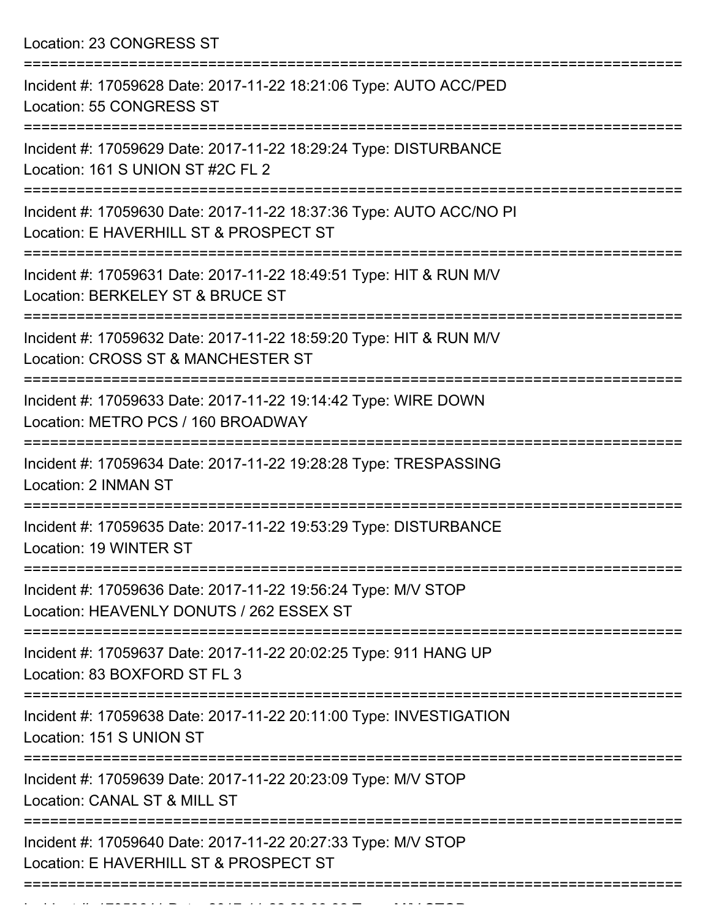Location: 23 CONGRESS ST

| Incident #: 17059628 Date: 2017-11-22 18:21:06 Type: AUTO ACC/PED<br>Location: 55 CONGRESS ST                 |
|---------------------------------------------------------------------------------------------------------------|
| Incident #: 17059629 Date: 2017-11-22 18:29:24 Type: DISTURBANCE<br>Location: 161 S UNION ST #2C FL 2         |
| Incident #: 17059630 Date: 2017-11-22 18:37:36 Type: AUTO ACC/NO PI<br>Location: E HAVERHILL ST & PROSPECT ST |
| Incident #: 17059631 Date: 2017-11-22 18:49:51 Type: HIT & RUN M/V<br>Location: BERKELEY ST & BRUCE ST        |
| Incident #: 17059632 Date: 2017-11-22 18:59:20 Type: HIT & RUN M/V<br>Location: CROSS ST & MANCHESTER ST      |
| Incident #: 17059633 Date: 2017-11-22 19:14:42 Type: WIRE DOWN<br>Location: METRO PCS / 160 BROADWAY          |
| Incident #: 17059634 Date: 2017-11-22 19:28:28 Type: TRESPASSING<br>Location: 2 INMAN ST                      |
| Incident #: 17059635 Date: 2017-11-22 19:53:29 Type: DISTURBANCE<br>Location: 19 WINTER ST                    |
| Incident #: 17059636 Date: 2017-11-22 19:56:24 Type: M/V STOP<br>Location: HEAVENLY DONUTS / 262 ESSEX ST     |
| Incident #: 17059637 Date: 2017-11-22 20:02:25 Type: 911 HANG UP<br>Location: 83 BOXFORD ST FL 3              |
| Incident #: 17059638 Date: 2017-11-22 20:11:00 Type: INVESTIGATION<br>Location: 151 S UNION ST                |
| Incident #: 17059639 Date: 2017-11-22 20:23:09 Type: M/V STOP<br>Location: CANAL ST & MILL ST                 |
| Incident #: 17059640 Date: 2017-11-22 20:27:33 Type: M/V STOP<br>Location: E HAVERHILL ST & PROSPECT ST       |
|                                                                                                               |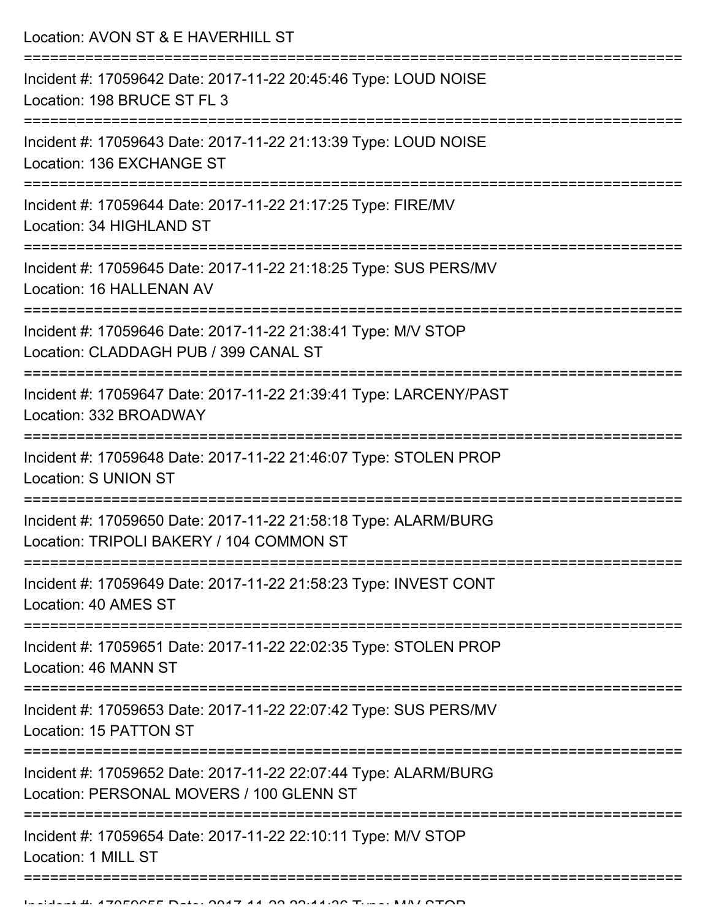Location: AVON ST & E HAVERHILL ST =========================================================================== Incident #: 17059642 Date: 2017-11-22 20:45:46 Type: LOUD NOISE Location: 198 BRUCE ST FL 3 =========================================================================== Incident #: 17059643 Date: 2017-11-22 21:13:39 Type: LOUD NOISE Location: 136 EXCHANGE ST =========================================================================== Incident #: 17059644 Date: 2017-11-22 21:17:25 Type: FIRE/MV Location: 34 HIGHLAND ST =========================================================================== Incident #: 17059645 Date: 2017-11-22 21:18:25 Type: SUS PERS/MV Location: 16 HALLENAN AV =========================================================================== Incident #: 17059646 Date: 2017-11-22 21:38:41 Type: M/V STOP Location: CLADDAGH PUB / 399 CANAL ST =========================================================================== Incident #: 17059647 Date: 2017-11-22 21:39:41 Type: LARCENY/PAST Location: 332 BROADWAY =========================================================================== Incident #: 17059648 Date: 2017-11-22 21:46:07 Type: STOLEN PROP Location: S UNION ST =========================================================================== Incident #: 17059650 Date: 2017-11-22 21:58:18 Type: ALARM/BURG Location: TRIPOLI BAKERY / 104 COMMON ST =========================================================================== Incident #: 17059649 Date: 2017-11-22 21:58:23 Type: INVEST CONT Location: 40 AMES ST =========================================================================== Incident #: 17059651 Date: 2017-11-22 22:02:35 Type: STOLEN PROP Location: 46 MANN ST =========================================================================== Incident #: 17059653 Date: 2017-11-22 22:07:42 Type: SUS PERS/MV Location: 15 PATTON ST =========================================================================== Incident #: 17059652 Date: 2017-11-22 22:07:44 Type: ALARM/BURG Location: PERSONAL MOVERS / 100 GLENN ST =========================================================================== Incident #: 17059654 Date: 2017-11-22 22:10:11 Type: M/V STOP Location: 1 MILL ST ===========================================================================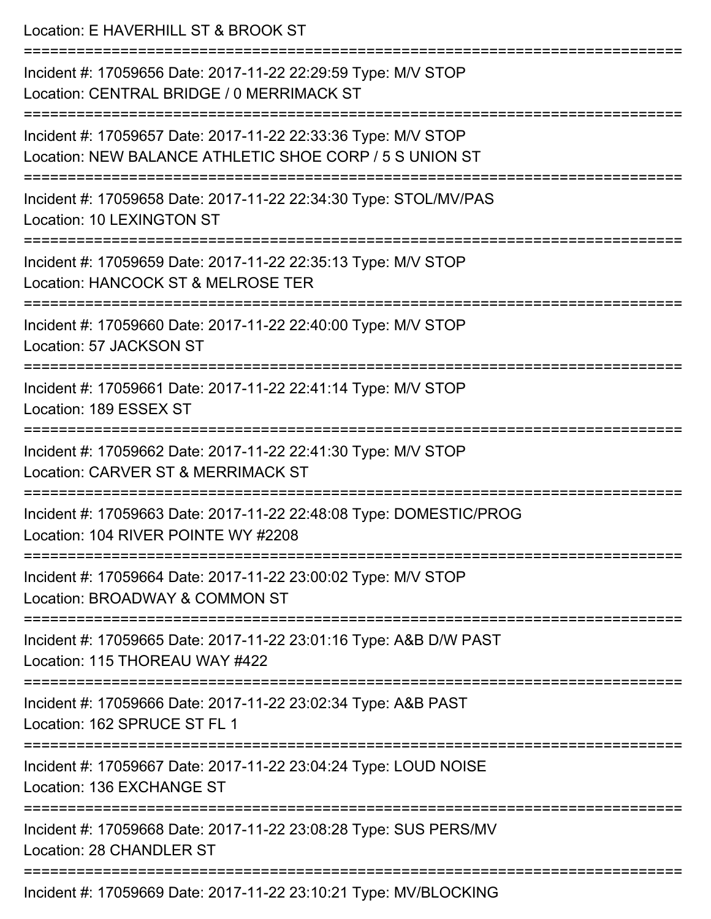| Location: E HAVERHILL ST & BROOK ST                                                                                      |
|--------------------------------------------------------------------------------------------------------------------------|
| Incident #: 17059656 Date: 2017-11-22 22:29:59 Type: M/V STOP<br>Location: CENTRAL BRIDGE / 0 MERRIMACK ST               |
| Incident #: 17059657 Date: 2017-11-22 22:33:36 Type: M/V STOP<br>Location: NEW BALANCE ATHLETIC SHOE CORP / 5 S UNION ST |
| Incident #: 17059658 Date: 2017-11-22 22:34:30 Type: STOL/MV/PAS<br><b>Location: 10 LEXINGTON ST</b>                     |
| Incident #: 17059659 Date: 2017-11-22 22:35:13 Type: M/V STOP<br>Location: HANCOCK ST & MELROSE TER                      |
| Incident #: 17059660 Date: 2017-11-22 22:40:00 Type: M/V STOP<br>Location: 57 JACKSON ST                                 |
| Incident #: 17059661 Date: 2017-11-22 22:41:14 Type: M/V STOP<br>Location: 189 ESSEX ST                                  |
| Incident #: 17059662 Date: 2017-11-22 22:41:30 Type: M/V STOP<br>Location: CARVER ST & MERRIMACK ST                      |
| Incident #: 17059663 Date: 2017-11-22 22:48:08 Type: DOMESTIC/PROG<br>Location: 104 RIVER POINTE WY #2208                |
| Incident #: 17059664 Date: 2017-11-22 23:00:02 Type: M/V STOP<br>Location: BROADWAY & COMMON ST                          |
| Incident #: 17059665 Date: 2017-11-22 23:01:16 Type: A&B D/W PAST<br>Location: 115 THOREAU WAY #422                      |
| Incident #: 17059666 Date: 2017-11-22 23:02:34 Type: A&B PAST<br>Location: 162 SPRUCE ST FL 1                            |
| Incident #: 17059667 Date: 2017-11-22 23:04:24 Type: LOUD NOISE<br>Location: 136 EXCHANGE ST                             |
| Incident #: 17059668 Date: 2017-11-22 23:08:28 Type: SUS PERS/MV<br>Location: 28 CHANDLER ST                             |
| Incident #: 17050660 Date: 2017 11 22 23:10:21 Type: MV/PLOCKING                                                         |

Incident #: 17059669 Date: 2017-11-22 23:10:21 Type: MV/BLOCKING